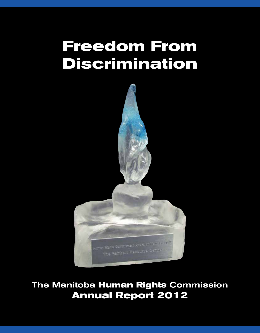# **Freedom From Discrimination**



The Manitoba **Human Rights** Commission **Annual Report 2012**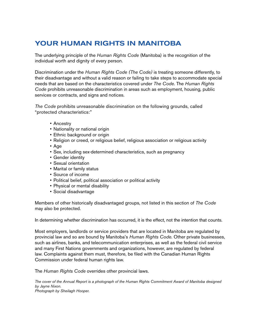# Your Human Rights in Manitoba

The underlying principle of the *Human Rights Code* (Manitoba) is the recognition of the individual worth and dignity of every person.

Discrimination under the *Human Rights Code (The Code)* is treating someone differently, to their disadvantage and without a valid reason or failing to take steps to accommodate special needs that are based on the characteristics covered under *The Code*. The *Human Rights Code* prohibits unreasonable discrimination in areas such as employment, housing, public services or contracts, and signs and notices.

*The Code* prohibits unreasonable discrimination on the following grounds, called "protected characteristics:"

- • Ancestry
- Nationality or national origin
- Ethnic background or origin
- Religion or creed, or religious belief, religious association or religious activity
- • Age
- Sex, including sex-determined characteristics, such as pregnancy
- Gender identity
- • Sexual orientation
- • Marital or family status
- • Source of income
- Political belief, political association or political activity
- Physical or mental disability
- • Social disadvantage

Members of other historically disadvantaged groups, not listed in this section of *The Code* may also be protected.

In determining whether discrimination has occurred, it is the effect, not the intention that counts.

Most employers, landlords or service providers that are located in Manitoba are regulated by provincial law and so are bound by Manitoba's *Human Rights Code*. Other private businesses, such as airlines, banks, and telecommunication enterprises, as well as the federal civil service and many First Nations governments and organizations, however, are regulated by federal law. Complaints against them must, therefore, be filed with the Canadian Human Rights Commission under federal human rights law.

The *Human Rights Code* overrides other provincial laws.

*The cover of the Annual Report is a photograph of the Human Rights Commitment Award of Manitoba designed by Jayne Nixon. Photograph by Sheilagh Hooper.*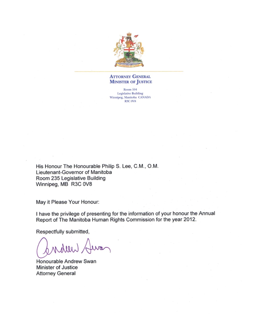

### **ATTORNEY GENERAL MINISTER OF JUSTICE**

Room 104 **Legislative Building** Winnipeg, Manitoba CANADA R3C 0V8

His Honour The Honourable Philip S. Lee, C.M., O.M. Lieutenant-Governor of Manitoba Room 235 Legislative Building Winnipeg, MB R3C 0V8

May it Please Your Honour:

I have the privilege of presenting for the information of your honour the Annual Report of The Manitoba Human Rights Commission for the year 2012.

Respectfully submitted,

wheer

Honourable Andrew Swan Minister of Justice **Attorney General**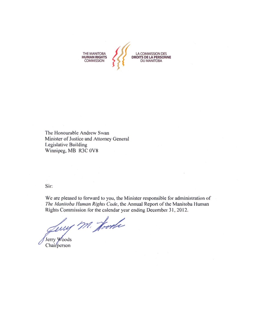

The Honourable Andrew Swan Minister of Justice and Attorney General Legislative Building Winnipeg, MB R3C 0V8

Sir:

We are pleased to forward to you, the Minister responsible for administration of The Manitoba Human Rights Code, the Annual Report of the Manitoba Human Rights Commission for the calendar year ending December 31, 2012.

me calendar ye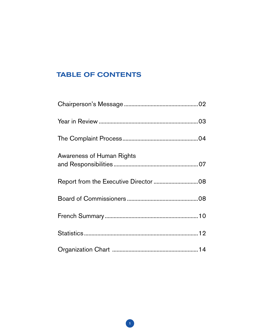# **TABLE OF CONTENTS**

| <b>Awareness of Human Rights</b> |  |
|----------------------------------|--|
|                                  |  |
|                                  |  |
|                                  |  |
|                                  |  |
|                                  |  |
|                                  |  |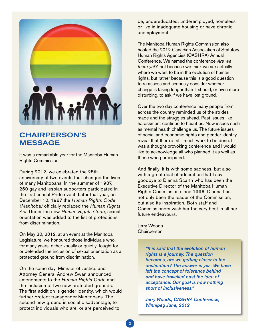

# Chairperson's **MESSAGE**

It was a remarkable year for the Manitoba Human Rights Commission.

During 2012, we celebrated the 25th anniversary of two events that changed the lives of many Manitobans. In the summer of 1987, 250 gay and lesbian supporters participated in the first annual Pride event. Later that year, on December 10, 1987 the *Human Rights Code (Manitoba)* officially replaced the *Human Rights Act*. Under the new *Human Rights Code*, sexual orientation was added to the list of protections from discrimination.

On May 30, 2012, at an event at the Manitoba Legislature, we honoured those individuals who, for many years, either vocally or quietly, fought for or defended the inclusion of sexual orientation as a protected ground from discrimination.

On the same day, Minister of Justice and Attorney General Andrew Swan announced amendments to the *Human Rights Code* and the inclusion of two new protected grounds. The first addition is gender identity, which would further protect transgender Manitobans. The second new ground is social disadvantage, to protect individuals who are, or are perceived to

be, undereducated, underemployed, homeless or live in inadequate housing or have chronic unemployment.

The Manitoba Human Rights Commission also hosted the 2012 Canadian Association of Statutory Human Rights Agencies (CASHRA) Annual Conference. We named the conference *Are we there yet?*, not because we think we are actually where we want to be in the evolution of human rights, but rather because this is a good question to re-assess and seriously consider whether change is taking longer than it should, or even more disturbing, to ask if we have lost ground.

Over the two day conference many people from across the country reminded us of the strides made and the struggles ahead. Past issues like harassment continue to haunt us. New issues such as mental health challenge us. The future issues of social and economic rights and gender identity reveal that there is still much work to be done. It was a thought-provoking conference and I would like to acknowledge all who planned it as well as those who participated.

And finally, it is with some sadness, but also with a great deal of admiration that I say goodbye to Dianna Scarth who has been the Executive Director of the Manitoba Human Rights Commission since 1996. Dianna has not only been the leader of the Commission, but also its inspiration. Both staff and Commissioners wish her the very best in all her future endeavours.

Jerry Woods **Chairperson** 

> *"It is said that the evolution of human rights is a journey. The question becomes, are we getting closer to the destination? The answer is yes. We have left the concept of tolerance behind and have travelled past the idea of acceptance. Our goal is now nothing short of inclusiveness."*

*Jerry Woods, CASHRA Conference, Winnipeg June, 2012*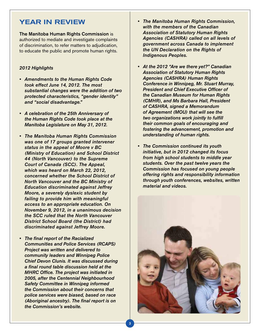# Year in Review

The Manitoba Human Rights Commission is authorized to mediate and investigate complaints of discrimination, to refer matters to adjudication, to educate the public and promote human rights.

### *2012 Highlights*

- • Amendments to the Human Rights Code *took effect June 14, 2012. The most substantial changes were the addition of two protected characteristics, "gender identity" and "social disadvantage."*
- • A celebration of the 25th Anniversary of *the Human Rights Code took place at the Manitoba Legislature on May 31, 2012.*
- • The Manitoba Human Rights Commission *was one of 17 groups granted intervener status in the appeal of Moore v BC (Ministry of Education) and School District 44 (North Vancouver) to the Supreme Court of Canada (SCC). The Appeal, which was heard on March 22, 2012, concerned whether the School District of North Vancouver and the BC Ministry of Education discriminated against Jeffrey Moore, a severely dyslexic student by failing to provide him with meaningful access to an appropriate education. On November 9, 2012, in a unanimous decision the SCC ruled that the North Vancouver District School Board (the District) had discriminated against Jeffrey Moore.*
- The final report of the Racialized *Communities and Police Services (RCAPS) Project was written and delivered to community leaders and Winnipeg Police Chief Devon Clunis. It was discussed during*  a final round table discussion held at the MHRC Office. The project was initiated in 2005, after the Centennial Neighbourhood *Safety Committee in Winnipeg informed the Commission about their concerns that police services were biased, based on race*  (Aboriginal ancestry). The final report is on *the Commission's website.*
- • The Manitoba Human Rights Commission, *with the members of the Canadian Association of Statutory Human Rights Agencies (CASHRA) called on all levels of government across Canada to implement the UN Declaration on the Rights of Indigenous Peoples.*
- At the 2012 "Are we there yet?" Canadian *Association of Statutory Human Rights Agencies (CASHRA) Human Rights Conference in Winnipeg, Mr. Stuart Murray,*  President and Chief Executive Officer of *the Canadian Museum for Human Rights (CMHR), and Ms Barbara Hall, President of CASHRA, signed a Memorandum of Agreement (MOU) that will see the*  two organizations work jointly to fulfill *their common goals of encouraging and fostering the advancement, promotion and understanding of human rights.*
- The Commission continued its youth *initiative, but in 2012 changed its focus from high school students to middle year students. Over the past twelve years the Commission has focused on young people offering rights and responsibility information through youth conferences, websites, written material and videos.*

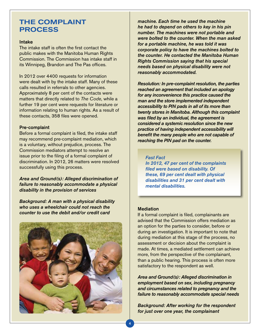# The Complaint **PROCESS**

#### Intake

The intake staff is often the first contact the public makes with the Manitoba Human Rights Commission. The Commission has intake staff in its Winnipeg, Brandon and The Pas offices.

In 2012 over 4400 requests for information were dealt with by the intake staff. Many of these calls resulted in referrals to other agencies. Approximately 8 per cent of the contacts were matters that directly related to *The Code*, while a further 19 per cent were requests for literature or information relating to human rights. As a result of these contacts, 358 files were opened.

#### Pre-complaint

Before a formal complaint is filed, the intake staff may recommend pre-complaint mediation, which is a voluntary, without prejudice, process. The Commission mediators attempt to resolve an issue prior to the filing of a formal complaint of discrimination. In 2012, 26 matters were resolved successfully using this process.

*Area and Ground(s): Alleged discrimination of failure to reasonably accommodate a physical disability in the provision of services*

*Background: A man with a physical disability who uses a wheelchair could not reach the counter to use the debit and/or credit card* 



*machine. Each time he used the machine he had to depend on others to key in his pin number. The machines were not portable and were bolted to the counter. When the man asked for a portable machine, he was told it was corporate policy to have the machines bolted to the counter. He contacted the Manitoba Human Rights Commission saying that his special needs based on physical disability were not reasonably accommodated.* 

*Resolution: In pre-complaint resolution, the parties reached an agreement that included an apology for any inconvenience this practice caused the man and the store implemented independent accessibility to PIN pads in all of its more than twenty stores in Manitoba. Although this complaint*  was filed by an individual, the agreement is *considered a systemic resolution since the new practice of having independent accessibility will*  benefit the many people who are not capable of *reaching the PIN pad on the counter.* 

# *Fast Fact*

*In 2012, 47 per cent of the complaints*  filed were based on disability. Of *these, 69 per cent dealt with physical disabilities and 31 per cent dealt with mental disabilities.*

### **Mediation**

If a formal complaint is filed, complainants are advised that the Commission offers mediation as an option for the parties to consider, before or during an investigation. It is important to note that during mediation at this stage of the process, no assessment or decision about the complaint is made. At times, a mediated settlement can achieve more, from the perspective of the complainant, than a public hearing. This process is often more satisfactory to the respondent as well.

*Area and Ground(s): Alleged discrimination in employment based on sex, including pregnancy and circumstances related to pregnancy and the failure to reasonably accommodate special needs*

*Background: After working for the respondent for just over one year, the complainant*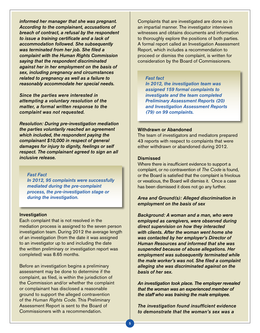*informed her manager that she was pregnant. According to the complainant, accusations of breach of contract, a refusal by the respondent*  to issue a training certificate and a lack of *accommodation followed. She subsequently*  was terminated from her job. She filed a *complaint with the Human Rights Commission saying that the respondent discriminated against her in her employment on the basis of sex, including pregnancy and circumstances related to pregnancy as well as a failure to reasonably accommodate her special needs.*

*Since the parties were interested in attempting a voluntary resolution of the matter, a formal written response to the complaint was not requested.*

*Resolution: During pre-investigation mediation the parties voluntarily reached an agreement which included, the respondent paying the complainant \$10,000 in respect of general damages for injury to dignity, feelings or self respect. The complainant agreed to sign an all inclusive release.* 

## *Fast Fact*

In 2012, 95 complaints were successfully *mediated during the pre-complaint process, the pre-investigation stage or during the investigation.*

#### Investigation

Each complaint that is not resolved in the mediation process is assigned to the seven person investigation team. During 2012 the average length of an investigation (from the date it was assigned to an investigator up to and including the date the written preliminary or investigation report was completed) was 8.65 months.

Before an investigation begins a preliminary assessment may be done to determine if the complaint, as filed, is within the jurisdiction of the Commission and/or whether the complaint or complainant has disclosed a reasonable ground to support the alleged contravention of the *Human Rights Code*. This Preliminary Assessment Report is sent to the Board of Commissioners with a recommendation.

Complaints that are investigated are done so in an impartial manner. The investigator interviews witnesses and obtains documents and information to thoroughly explore the positions of both parties. A formal report called an Investigation Assessment Report, which includes a recommendation to proceed or dismiss the complaint, is written for consideration by the Board of Commissioners.

### *Fast fact*

*In 2012, the investigation team was*  assigned 159 formal complaints to *investigate and the team completed Preliminary Assessment Reports (20) and Investigation Assessment Reports (79) on 99 complaints.*

### Withdrawn or Abandoned

The team of investigators and mediators prepared 43 reports with respect to complaints that were either withdrawn or abandoned during 2012.

#### **Dismissed**

Where there is insufficient evidence to support a complaint, or no contravention of *The Code* is found, or the Board is satisfied that the complaint is frivolous or vexatious, the Board will dismiss it. Once a case has been dismissed it does not go any further.

### *Area and Ground(s): Alleged discrimination in employment on the basis of sex*

*Background: A woman and a man, who were employed as caregivers, were observed during direct supervision on how they interacted with clients. After the woman went home she was contacted by her employer's Director of Human Resources and informed that she was suspended because of abuse allegations. Her employment was subsequently terminated while*  the male worker's was not. She filed a complaint *alleging she was discriminated against on the basis of her sex.* 

*An investigation took place. The employer revealed that the woman was an experienced member of the staff who was training the male employee.* 

The investigation found insufficient evidence *to demonstrate that the woman's sex was a*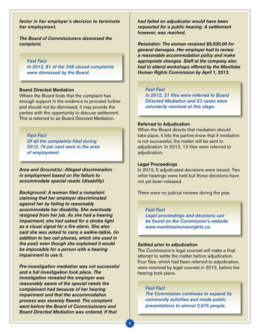*factor in her employer's decision to terminate her employment.* 

*The Board of Commissioners dismissed the complaint.* 

*Fast Fact* In 2012, 81 of the 258 closed complaints *were dismissed by the Board.* 

#### Board Directed Mediation

Where the Board finds that the complaint has enough support in the evidence to proceed further and should not be dismissed, it may provide the parties with the opportunity to discuss settlement. This is referred to as Board Directed Mediation.

### *Fast Fact*

Of all the complaints filed during *2012, 74 per cent were in the area of employment.* 

*Area and Ground(s): Alleged discrimination in employment based on the failure to accommodate special needs (disability)* 

Background: A woman filed a complaint *claiming that her employer discriminated against her by failing to reasonably accommodate her disability. She eventually resigned from her job. As she had a hearing impairment, she had asked for a strobe light*  as a visual signal for a fire alarm. She also *said she was asked to carry a walkie-talkie, (in addition to two cell phones, which she used in the past) even though she explained it would be impossible for a person with a hearing impairment to use it.* 

*Pre-investigation mediation was not successful and a full investigation took place. The investigation revealed the employer was reasonably aware of the special needs the complainant had because of her hearing impairment and that the accommodation process was severely flawed. The complaint went before the Board of Commissioners and Board Directed Mediation was ordered. If that* 

*had failed an adjudicator would have been requested for a public hearing. A settlement however, was reached.* 

Resolution: The woman received \$6,500.00 for *general damages. Her employer had to review a reasonable accommodation policy and make appropriate changes. Staff at the company also had to attend workshops offered by the Manitoba Human Rights Commission by April 1, 2013.*

### *Fast Fact*

In 2012, 31 files were referred to Board *Directed Mediation and 23 cases were voluntarily resolved at this stage.*

#### Referred to Adjudication

When the Board directs that mediation should take place, it lets the parties know that if mediation is not successful, the matter will be sent to adjudication. In 2012, 12 files were referred to adjudication.

#### Legal Proceedings

In 2012, 5 adjudicated decisions were issued. Two other hearings were held but those decisions have not yet been released.

There were no judicial reviews during the year.

#### *Fast Fact*

*Legal proceedings and decisions can be found on the Commission's website. www.manitobahumanrights.ca.*

#### Settled prior to adjudication

The Commission's legal counsel will make a final attempt to settle the matter before adjudication. Four files, which had been referred to adjudication, were resolved by legal counsel in 2012, before the hearing took place.

#### *Fast Fact*

*The Commission continues to expand its community activities and made public*  presentations to almost 2,675 people.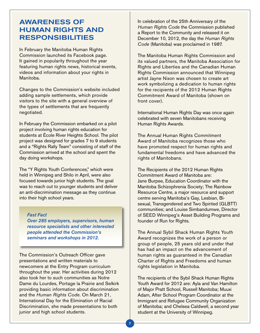# Awareness of human rights and **RESPONSIBILITIES**

In February the Manitoba Human Rights Commission launched its Facebook page. It gained in popularity throughout the year featuring human rights news, historical events, videos and information about your rights in Manitoba.

Changes to the Commission's website included adding sample settlements, which provide visitors to the site with a general overview of the types of settlements that are frequently negotiated.

In February the Commission embarked on a pilot project involving human rights education for students at École River Heights School. The pilot project was designed for grades 7 to 9 students and a "Rights Rally Team" consisting of staff of the Commission arrived at the school and spent the day doing workshops.

The "Y Rights Youth Conferences," which were held in Winnipeg and Shilo in April, were also focused towards junior high students. The goal was to reach out to younger students and deliver an anti-discrimination message as they continue into their high school years.

#### *Fast Fact*

Over 285 employers, supervisors, human *resource specialists and other interested people attended the Commission's seminars and workshops in 2012.* 

The Commission's Outreach Officer gave presentations and written materials to newcomers at the Entry Program curriculum throughout the year. Her activities during 2012 also took her to such communities as Notre Dame du Lourdes, Portage la Prairie and Selkirk providing basic information about discrimination and the *Human Rights Code*. On March 21, International Day for the Elimination of Racial Discrimination, she made presentations to both junior and high school students.

In celebration of the 25th Anniversary of the *Human Rights Code* the Commission published a Report to the Community and released it on December 10, 2012, the day the *Human Rights Code* (Manitoba) was proclaimed in 1987.

The Manitoba Human Rights Commission and its valued partners, the Manitoba Association for Rights and Liberties and the Canadian Human Rights Commission announced that Winnipeg artist Jayne Nixon was chosen to create art work symbolizing a dedication to human rights for the recipients of the 2012 Human Rights Commitment Award of Manitoba (shown on front cover).

International Human Rights Day was once again celebrated with seven Manitobans receiving Human Rights Awards.

The Annual Human Rights Commitment Award of Manitoba recognizes those who have promoted respect for human rights and fundamental freedoms and have advanced the rights of Manitobans.

The Recipients of the 2012 Human Rights Commitment Award of Manitoba are: Jane Burpee, Education Coordinator with the Manitoba Schizophrenia Society; The Rainbow Resource Centre, a major resource and support centre serving Manitoba's Gay, Lesbian, Bisexual, Transgendered and Two Spirited (GLBTT) communities; and Louise Simbandumwe, Director of SEED Winnipeg's Asset Building Programs and founder of Run for Rights.

The Annual Sybil Shack Human Rights Youth Award recognizes the work of a person or group of people, 25 years old and under that has had an impact on the advancement of human rights as guaranteed in the Canadian Charter of Rights and Freedoms and human rights legislation in Manitoba.

The recipients of the Sybil Shack Human Rights Youth Award for 2012 are: Ayla and Van Hamilton of Major Pratt School, Russell Manitoba; Muuxi Adam, After School Program Coordinator at the Immigrant and Refugee Community Organization of Manitoba; and Chelsea Caldwell, a second year student at the University of Winnipeg.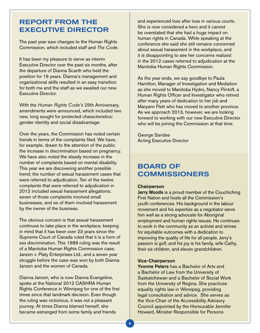# Report from the Executive Director

The past year saw changes to the Human Rights Commission, which included staff and *The Code*.

It has been my pleasure to serve as interim Executive Director over the past six months, after the departure of Dianna Scarth who held the position for 16 years. Dianna's management and organizational skills resulted in an easy transition for both me and the staff as we awaited our new Executive Director.

With the *Human Rights Code's* 25th Anniversary, amendments were announced, which included two new, long sought for protected characteristics: gender identity and social disadvantage.

Over the years, the Commission has noted certain trends in terms of the complaints filed. We have, for example, drawn to the attention of the public the increase in discrimination based on pregnancy. We have also noted the steady increase in the number of complaints based on mental disability. This year we are discovering another possible trend; the number of sexual harassment cases that were referred to adjudication. Ten of the twelve complaints that were referred to adjudication in 2012 included sexual harassment allegations; seven of those complaints involved small businesses, and six of them involved harassment by the owner of the business.

The obvious concern is that sexual harassment continues to take place in the workplace, keeping in mind that it has been over 23 years since the Supreme Court of Canada ruled that it is a form of sex discrimination. This 1989 ruling was the result of a Manitoba Human Rights Commission case, Janzen v. Platy Enterprises Ltd., and a seven year struggle before the case was won by both Dianna Janzen and the women of Canada.

Dianna Janzen, who is now Dianna Evangeline, spoke at the National 2012 CASHRA Human Rights Conference in Winnipeg for one of the first times since that landmark decision. Even though the ruling was victorious, it was not a pleasant journey. At times Dianna blamed herself, she became estranged from some family and friends

and experienced loss after loss in various courts. She is now considered a hero and it cannot be overstated that she had a huge impact on human rights in Canada. While speaking at the conference she said she still remains concerned about sexual harassment in the workplace, and it is disappointing to see her concerns realized in the 2012 cases referred to adjudication at the Manitoba Human Rights Commission.

As the year ends, we say goodbye to Paula Hamilton, Manager of Investigation and Mediation as she moved to Manitoba Hydro, Nancy Flintoft, a Human Rights Officer and Investigator who retired after many years of dedication to her job and Maryann Flett who has moved to another province. As we approach 2013, however, we are looking forward to working with our new Executive Director who will be joining the Commission at that time.

George Sarides Acting Executive Director

# Board of **COMMISSIONERS**

### **Chairperson**

Jerry Woods is a proud member of the Couchiching First Nation and hosts all the Commission's youth conferences. His background in the labour movement and his expertise as a negotiator serve him well as a strong advocate for Aboriginal employment and human rights issues. He continues to work in the community as an activist and strives for equitable outcomes with a dedication to improving the quality of life for all people. Jerry's passion is golf, and his joy is his family, wife Cathy, their six children, and eleven grandchildren.

#### Vice-Chairperson

Yvonne Peters has a Bachelor of Arts and a Bachelor of Law from the University of Saskatchewan and a Bachelor of Social Work from the University of Regina. She practices equality rights law in Winnipeg, providing legal consultation and advice. She serves as the Vice-Chair of the Accessibility Advisory Council appointed by the Honourable Jennifer Howard, Minister Responsible for Persons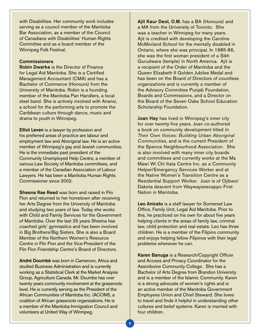with Disabilities. Her community work includes serving as a council member of the Manitoba Bar Association, as a member of the Council of Canadians with Disabilities' Human Rights Committee and as a board member of the Winnipeg Folk Festival.

## **Commissioners**

Robin Dwarka is the Director of Finance for Legal Aid Manitoba. She is a Certified Management Accountant (CMA) and has a Bachelor of Commerce (Honours) from the University of Manitoba. Robin is a founding member of the Manitoba Pan Handlers, a local steel band. She is actively involved with Anansi, a school for the performing arts to promote the Caribbean culture through dance, music and drama to youth in Winnipeg.

Elliot Leven is a lawyer by profession and his preferred areas of practice are labour and employment law and Aboriginal law. He is an active member of Winnipeg's gay and Jewish communities. He is the immediate past president of the Community Unemployed Help Centre, a member of various Law Society of Manitoba committees, and a member of the Canadian Association of Labour Lawyers. He has been a Manitoba Human Rights Commissioner since 2002.

Sheena Rae Reed was born and raised in Flin Flon and returned to her hometown after receiving her Arts Degree from the University of Manitoba and studying two years of law. Today she works with Child and Family Services for the Government of Manitoba. Over the last 25 years Sheena has coached girls' gymnastics and has been involved in Big Brothers/Big Sisters. She is also a Board Member of the Northern Women's Resource Centre in Flin Flon and the Vice-President of the Flin Flon Friendship Centre's Board of Directors.

André Doumbè was born in Cameroon, Africa and studied Business Administration and is currently working as a Statistical Clerk at the Market Analysis Group, Agriculture Canada. Mr. Doumbe has over twenty years community involvement at the grassroots level. He is currently serving as the President of the African Communities of Manitoba Inc. (ACOMI), a coalition of African grassroots organizations. He is a member of the Manitoba Immigration Council and volunteers at United Way of Winnipeg.

Ajit Kaur Deol, O.M. has a BA (Honours) and a MA from the University of Toronto. She was a teacher in Winnipeg for many years. Ajit is credited with developing the Caroline McMorland School for the mentally disabled in Ontario, where she was principal. In 1985-86, she was the first woman president of a Sikh Gurudwara (temple) in North America. Ajit is a recipient of the Order of Manitoba and the Queen Elizabeth II Golden Jubilee Medal and has been on the Board of Directors of countless organizations and is currently a member of the Advisory Committee Punjab Foundation, Boards and Commissions, and a Director on the Board of the Seven Oaks School Education Scholarship Foundation.

Joan Hay has lived in Winnipeg's inner city for over twenty-five years. Joan co-authored a book on community development titled *In Their Own Voices: Building Urban Aboriginal Communities*, and is the current President of the Spence Neighbourhood Association. She is also involved with many inner city boards and committees and currently works at the Ma Mawi Wi Chi Itata Centre Inc. as a Community Helper/Emergency Services Worker and at the Native Women's Transition Centre as a Residential Support Worker. Joan is of Ojibwe/ Dakota descent from Waywayseecappo First Nation in Manitoba.

Leo Aniceto is a staff lawyer for Somerset Law Office, Family Unit, Legal Aid Manitoba. Prior to this, he practiced on his own for about five years helping clients in the areas of family law, criminal law, child protection and real estate. Leo has three children. He is a member of the Filipino community and enjoys helping fellow Filipinos with their legal problems whenever he can.

Karen Banuga is a Research/Copyright Officer and Access and Privacy Coordinator for the Assiniboine Community College. She has a Bachelor of Arts Degree from Brandon University and is a member of the Islamic Community. Karen is a strong advocate of women's rights and is an active member of the Manitoba Government Employees Union and Chief Steward. She loves to travel and finds it helpful in understanding other cultures and belief systems. Karen is married with four children.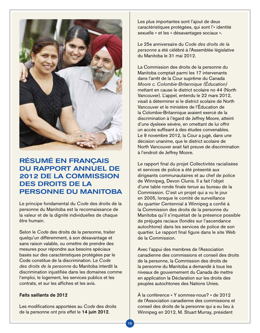

# Résumé en français du rapport annuel de 2012 de la Commission des droits de la personne du Manitoba

Le principe fondamental du *Code* des droits de la personne du Manitoba est la reconnaissance de la valeur et de la dignité individuelles de chaque être humain.

Selon le *Code* des droits de la personne, traiter quelqu'un différemment, à son désavantage et sans raison valable, ou omettre de prendre des mesures pour répondre aux besoins spéciaux basés sur des caractéristiques protégées par le Code constitue de la discrimination. Le *Code des droits de la personne* du Manitoba interdit la discrimination injustifiée dans les domaines comme l'emploi, le logement, les services publics et les contrats, et sur les affiches et les avis.

### Faits saillants de 2012

Les modifications apportées au *Code* des droits de la personne ont pris effet le 14 juin 2012.

Les plus importantes sont l'ajout de deux caractéristiques protégées, qui sont l'« identité sexuelle » et les « désavantages sociaux ».

Le 25e anniversaire du *Code des droits de la personne* a été célébré à l'Assemblée législative du Manitoba le 31 mai 2012.

La Commission des droits de la personne du Manitoba comptait parmi les 17 intervenants dans l'arrêt de la Cour suprême du Canada *Moore c. Colombie‑Britannique (Éducation)*  mettant en cause le district scolaire no 44 (North Vancouver). L'appel, entendu le 22 mars 2012, visait à déterminer si le district scolaire de North Vancouver et le ministère de l'Éducation de la Colombie-Britannique avaient exercé de la discrimination à l'égard de Jeffrey Moore, atteint d'une dyslexie sévère, en omettant de lui offrir un accès suffisant à des études convenables. Le 9 novembre 2012, la Cour a jugé, dans une décision unanime, que le district scolaire de North Vancouver avait fait preuve de discrimination à l'endroit de Jeffrey Moore.

Le rapport final du projet Collectivités racialisées et services de police a été présenté aux dirigeants communautaires et au chef de police de Winnipeg, Devon Clunis. Il a fait l'objet d'une table ronde finale tenue au bureau de la Commission. C'est un projet qui a vu le jour en 2005, lorsque le comité de surveillance du quartier Centennial à Winnipeg a confié à la Commission des droits de la personne du Manitoba qu'il s'inquiétait de la présence possible de préjugés raciaux (fondés sur l'ascendance autochtone) dans les services de police de son quartier. Le rapport final figure dans le site Web de la Commission.

Avec l'appui des membres de l'Association canadienne des commissions et conseil des droits de la personne, la Commission des droits de la personne du Manitoba a demandé à tous les niveaux de gouvernement du Canada de mettre en application la Déclaration sur les droits des peuples autochtones des Nations Unies.

À la conférence « Y sommes-nous? » de 2012 de l'Association canadienne des commissions et conseil des droits de la personne qui a eu lieu à Winnipeg en 2012, M. Stuart Murray, président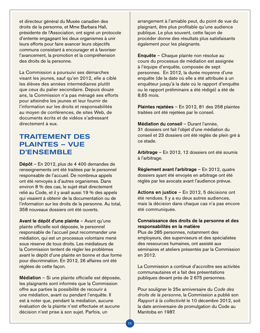et directeur général du Musée canadien des droits de la personne, et Mme Barbara Hall, présidente de l'Association, ont signé un protocole d'entente engageant les deux organismes à unir leurs efforts pour faire avancer leurs objectifs communs consistant à encourager et à favoriser l'avancement, la promotion et la compréhension des droits de la personne.

La Commission a poursuivi ses démarches visant les jeunes, sauf qu'en 2012, elle a ciblé les élèves des années intermédiaires plutôt que ceux du palier secondaire. Depuis douze ans, la Commission n'a pas ménagé ses efforts pour atteindre les jeunes et leur fournir de l'information sur les droits et responsabilités au moyen de conférences, de sites Web, de documents écrits et de vidéos s'adressant directement à eux.

# Traitement des plaintes – Vue d'ensemble

Dépôt – En 2012, plus de 4 400 demandes de renseignements ont été traitées par le personnel responsable de l'accueil. De nombreux appels ont été renvoyés à d'autres organismes. Dans environ 8 % des cas, le sujet était directement relié au Code, et il y avait aussi 19 % des appels qui visaient à obtenir de la documentation ou de l'information sur les droits de la personne. Au total, 358 nouveaux dossiers ont été ouverts.

Avant le dépôt d'une plainte – Avant qu'une plainte officielle soit déposée, le personnel responsable de l'accueil peut recommander une médiation, qui est un processus volontaire mené sous réserve de tous droits. Les médiateurs de la Commission tentent de régler les problèmes avant le dépôt d'une plainte en bonne et due forme pour discrimination. En 2012, 26 affaires ont été réglées de cette façon.

Médiation – Si une plainte officielle est déposée, les plaignants sont informés que la Commission offre aux parties la possibilité de recourir à une médiation, avant ou pendant l'enquête. Il est à noter que, pendant la médiation, aucune évaluation de la plainte n'est effectuée et aucune décision n'est prise à son sujet. Parfois, un

arrangement à l'amiable peut, du point de vue du plaignant, être plus profitable qu'une audience publique. Le plus souvent, cette façon de procéder donne des résultats plus satisfaisants également pour les plaignants.

Enquête – Chaque plainte non résolue au cours du processus de médiation est assignée à l'équipe d'enquête, composée de sept personnes. En 2012, la durée moyenne d'une enquête (de la date où elle a été attribuée à un enquêteur jusqu'à la date où le rapport d'enquête ou le rapport préliminaire a été rédigé) a été de 8,65 mois.

Plaintes rejetées – En 2012, 81 des 258 plaintes traitées ont été rejetées par le conseil.

Médiation du conseil – Durant l'année, 31 dossiers ont fait l'objet d'une médiation du conseil et 23 dossiers ont été réglés de plein gré à ce stade.

Arbitrage – En 2012, 12 dossiers ont été soumis à l'arbitrage.

Règlement avant l'arbitrage – En 2012, quatre dossiers ayant été envoyés en arbitrage ont été réglés par les avocats avant l'audience prévue.

Actions en justice – En 2012, 5 décisions ont été rendues. Il y a eu deux autres audiences, mais la décision dans chaque cas n'a pas encore été communiquée.

# Connaissance des droits de la personne et des responsabilités en la matière

Plus de 285 personnes, notamment des employeurs, des superviseurs et des spécialistes des ressources humaines, ont assisté aux séminaires et ateliers présentés par la Commission en 2012.

La Commission a continué d'accroître ses activités communautaires et a fait des présentations publiques devant près de 2 675 personnes.

Pour souligner le 25e anniversaire du *Code des droits de la personne*, la Commission a publié son *Rapport à la collectivité* le 10 décembre 2012, soit la date anniversaire de promulgation du Code au Manitoba en 1987.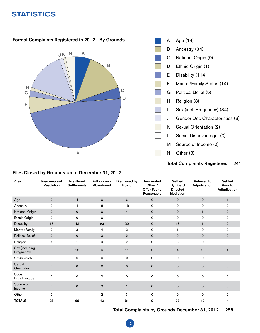# **STATISTICS**



# Total Complaints Registered = 241

| Area                         | Pre-complaint<br><b>Resolution</b> | Pre-Board<br><b>Settlements</b> | Withdrawn /<br>Abandoned | <b>Dismissed by</b><br><b>Board</b> | <b>Terminated</b><br>Other /<br><b>Offer Found</b><br>Reasonable | <b>Settled</b><br><b>By Board</b><br><b>Directed</b><br><b>Mediation</b> | <b>Referred to</b><br>Adjudication | <b>Settled</b><br>Prior to<br>Adjudication |
|------------------------------|------------------------------------|---------------------------------|--------------------------|-------------------------------------|------------------------------------------------------------------|--------------------------------------------------------------------------|------------------------------------|--------------------------------------------|
| Age                          | $\mathbf 0$                        | $\overline{4}$                  | $\mathbf 0$              | 6                                   | $\mathsf{O}$                                                     | $\mathsf{O}$                                                             | $\mathbf 0$                        | $\mathbf{1}$                               |
| Ancestry                     | 3                                  | 4                               | 8                        | 18                                  | 0                                                                | 0                                                                        | 0                                  | 0                                          |
| National Origin              | $\mathbf 0$                        | $\mathsf{o}$                    | $\mathbf 0$              | $\overline{4}$                      | $\mathsf{o}$                                                     | $\mathsf{O}$                                                             | $\mathbf{1}$                       | 0                                          |
| Ethnic Origin                | $\mathbf 0$                        | $\Omega$                        | $\Omega$                 | 1                                   | 0                                                                | 0                                                                        | 0                                  | 0                                          |
| <b>Disability</b>            | 15                                 | 43                              | 23                       | 30                                  | $\mathsf{O}$                                                     | 15                                                                       | $\mathbf{1}$                       | $\overline{2}$                             |
| Marital/Family               | 2                                  | З                               | 4                        | 3                                   | 0                                                                | 1                                                                        | 0                                  | 0                                          |
| <b>Political Belief</b>      | $\mathbf 0$                        | $\mathsf{o}$                    | $\mathsf{O}$             | $\overline{2}$                      | $\mathsf{o}$                                                     | $\mathsf 0$                                                              | $\mathbf 0$                        | 0                                          |
| Religion                     | 1                                  | 1                               | 0                        | $\,2\,$                             | 0                                                                | 3                                                                        | $\mathsf 0$                        | 0                                          |
| Sex (including<br>Pregnancy) | 3                                  | 13                              | 6                        | 11                                  | $\mathbf 0$                                                      | 4                                                                        | 10                                 |                                            |
| Gender Identity              | $\mathsf O$                        | 0                               | $\mathsf{o}$             | 0                                   | 0                                                                | 0                                                                        | 0                                  | 0                                          |
| Sexual<br>Orientation        | $\mathbf 0$                        | $\mathbf 0$                     | $\mathbf 0$              | $\mathbf 0$                         | $\mathbf 0$                                                      | $\mathsf 0$                                                              | $\mathbf 0$                        | $\Omega$                                   |
| Social<br>Disadvantage       | $\mathbf 0$                        | 0                               | $\mathsf{o}$             | $\mathbf 0$                         | 0                                                                | 0                                                                        | 0                                  | 0                                          |
| Source of<br>Income          | $\mathbf 0$                        | $\mathbf 0$                     | $\mathbf{O}$             | $\mathbf{1}$                        | $\mathsf{O}$                                                     | $\mathbf 0$                                                              | $\mathbf 0$                        | $\Omega$                                   |
| Other                        | $\overline{2}$                     | 1                               | $\overline{2}$           | 3                                   | $\Omega$                                                         | $\Omega$                                                                 | $\Omega$                           | $\Omega$                                   |
| <b>TOTALS</b>                | 26                                 | 69                              | 43                       | 81                                  | 0                                                                | 23                                                                       | 12                                 | 4                                          |

# Files Closed by Grounds up to December 31, 2012

Total Complaints by Grounds December 31, 2012 258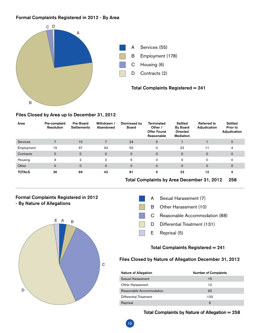# Formal Complaints Registered in 2012 - By Area



### Files Closed by Area up to December 31, 2012

| Area            | Pre-complaint<br>Resolution | Pre-Board<br><b>Settlements</b> | Withdrawn /<br>Abandoned | Dismissed by<br>Board | <b>Terminated</b><br>Other /<br><b>Offer Found</b><br>Reasonable | <b>Settled</b><br><b>By Board</b><br><b>Directed</b><br><b>Mediation</b> | <b>Referred to</b><br>Adjudication | Settled<br>Prior to<br>Adjudication |
|-----------------|-----------------------------|---------------------------------|--------------------------|-----------------------|------------------------------------------------------------------|--------------------------------------------------------------------------|------------------------------------|-------------------------------------|
| <b>Services</b> | 7                           | 10                              | 7                        | 24                    | $\mathbf{O}$                                                     |                                                                          |                                    | $\mathbf 0$                         |
| Employment      | 15                          | 57                              | 34                       | 52                    | 0                                                                | 22                                                                       | 11                                 | 4                                   |
| Contracts       | $\mathbf 0$                 | $\mathbf 0$                     | $\mathbf 0$              | $\Omega$              | 0                                                                | $\mathbf 0$                                                              | $\mathbf 0$                        | $\mathbf 0$                         |
| Housing         | 4                           | $\mathbf{2}$                    | $\mathbf{2}$             | 5                     | 0                                                                | $\mathbf 0$                                                              | $\mathbf 0$                        | 0                                   |
| Other           | $\mathbf 0$                 | $\mathbf 0$                     | $\mathbf 0$              | $\Omega$              | $\mathbf{O}$                                                     | $\mathbf 0$                                                              | $\mathbf 0$                        | $\mathbf 0$                         |
| <b>TOTALS</b>   | 26                          | 69                              | 43                       | 81                    | 0                                                                | 23                                                                       | 12                                 | 4                                   |

13

Total Complaints by Area December 31, 2012 258

### Formal Complaints Registered in 2012 - By Nature of Allegations





# Total Complaints Registered = 241

### Files Closed by Nature of Allegation December 31, 2012

| <b>Nature of Allegation</b> | <b>Number of Complaints</b> |
|-----------------------------|-----------------------------|
| Sexual Harassment           | 15                          |
| Other Harassment            | 12                          |
| Reasonable Accommodation    | 92                          |
| Differential Treatment      | 133                         |
| Reprisal                    | 6                           |

### Total Complaints by Nature of Allegation = 258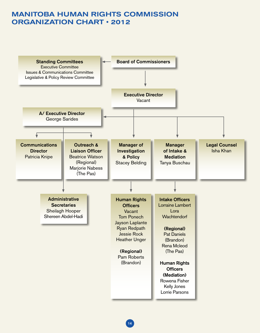# MANITOBA HUMAN RIGHTS COMMISSION ORGANIZATION CHART • 2012